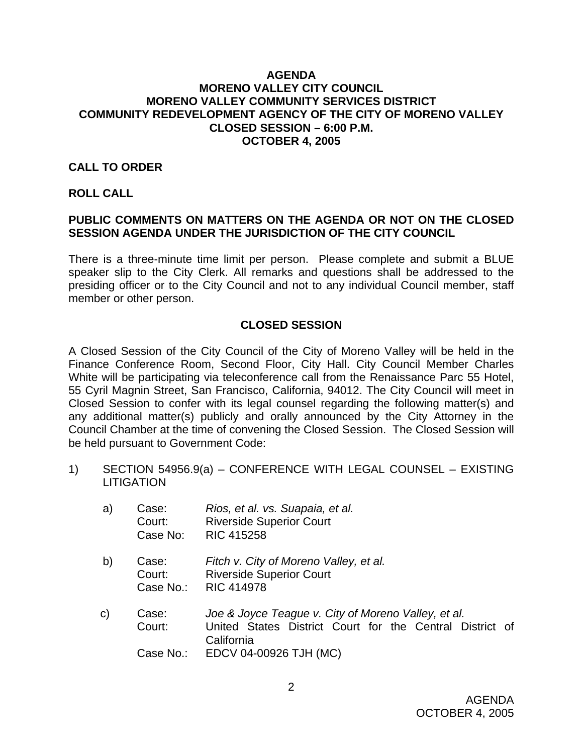### **AGENDA MORENO VALLEY CITY COUNCIL MORENO VALLEY COMMUNITY SERVICES DISTRICT COMMUNITY REDEVELOPMENT AGENCY OF THE CITY OF MORENO VALLEY CLOSED SESSION – 6:00 P.M. OCTOBER 4, 2005**

# **CALL TO ORDER**

#### **ROLL CALL**

# **PUBLIC COMMENTS ON MATTERS ON THE AGENDA OR NOT ON THE CLOSED SESSION AGENDA UNDER THE JURISDICTION OF THE CITY COUNCIL**

There is a three-minute time limit per person. Please complete and submit a BLUE speaker slip to the City Clerk. All remarks and questions shall be addressed to the presiding officer or to the City Council and not to any individual Council member, staff member or other person.

# **CLOSED SESSION**

A Closed Session of the City Council of the City of Moreno Valley will be held in the Finance Conference Room, Second Floor, City Hall. City Council Member Charles White will be participating via teleconference call from the Renaissance Parc 55 Hotel, 55 Cyril Magnin Street, San Francisco, California, 94012. The City Council will meet in Closed Session to confer with its legal counsel regarding the following matter(s) and any additional matter(s) publicly and orally announced by the City Attorney in the Council Chamber at the time of convening the Closed Session. The Closed Session will be held pursuant to Government Code:

1) SECTION 54956.9(a) – CONFERENCE WITH LEGAL COUNSEL – EXISTING **LITIGATION** 

| a)           | Case:<br>Court:<br>Case No:  | Rios, et al. vs. Suapaia, et al.<br><b>Riverside Superior Court</b><br><b>RIC 415258</b>                                      |
|--------------|------------------------------|-------------------------------------------------------------------------------------------------------------------------------|
| b)           | Case:<br>Court:<br>Case No.: | Fitch v. City of Moreno Valley, et al.<br><b>Riverside Superior Court</b><br><b>RIC 414978</b>                                |
| $\mathsf{C}$ | Case:<br>Court:              | Joe & Joyce Teague v. City of Moreno Valley, et al.<br>United States District Court for the Central District of<br>California |
|              | Case No.:                    | EDCV 04-00926 TJH (MC)                                                                                                        |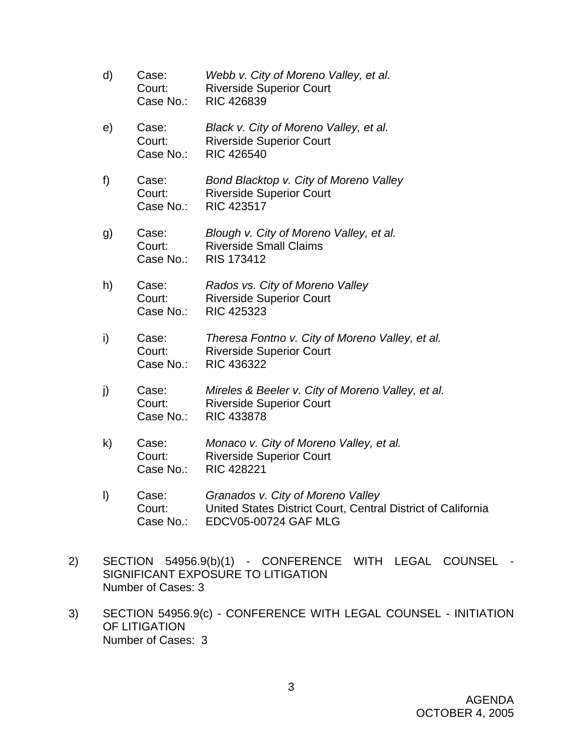- d) Case: *Webb v. City of Moreno Valley, et al.*  Court: Riverside Superior Court Case No.: RIC 426839 e) Case: *Black v. City of Moreno Valley, et al.*  Court: Riverside Superior Court Case No.: RIC 426540 f) Case: *Bond Blacktop v. City of Moreno Valley* **Court:** Riverside Superior Court Case No.: RIC 423517 g) Case: *Blough v. City of Moreno Valley, et al.* Court: Riverside Small Claims Case No.: RIS 173412 h) Case: *Rados vs. City of Moreno Valley*  Court: Riverside Superior Court Case No.: RIC 425323 i) Case: *Theresa Fontno v. City of Moreno Valley, et al.*  Court: Riverside Superior Court Case No.: RIC 436322 j) Case: *Mireles & Beeler v. City of Moreno Valley, et al.* **Court:** Riverside Superior Court Case No.: RIC 433878 k) Case: *Monaco v. City of Moreno Valley, et al.*
- **Court:** Riverside Superior Court Case No.: RIC 428221
- l) Case: *Granados v. City of Moreno Valley*  Court: United States District Court, Central District of California Case No.: EDCV05-00724 GAF MLG
- 2) SECTION 54956.9(b)(1) CONFERENCE WITH LEGAL COUNSEL SIGNIFICANT EXPOSURE TO LITIGATION Number of Cases: 3
- 3) SECTION 54956.9(c) CONFERENCE WITH LEGAL COUNSEL INITIATION OF LITIGATION Number of Cases: 3